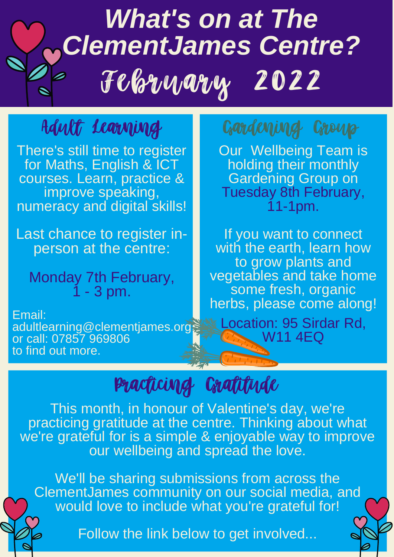# *What's on at The ClementJames Centre?* February 2022

Practicing Gratitude

**Our Wellbeing Team is** holding their monthly Gardening Group on Tuesday 8th February, 11-1pm.

If you want to connect with the earth, learn how to grow plants and vegetables and take home some fresh, organic

## herbs, please come along! Location: 95 Sirdar Rd, W11 4EQ

This month, in honour of Valentine's day, we're practicing gratitude at the centre. Thinking about what we're grateful for is a simple & enjoyable way to improve our wellbeing and spread the love.

We'll be sharing submissions from across the ClementJames community on our social media, and would love to include what you're grateful for!

Follow the link below to get involved...

# Adult Learning

There's still time to register for Maths, English & ICT courses. Learn, practice & improve speaking, numeracy and digital skills!

Last chance to register inperson at the centre:

Monday 7th February, 1 - 3 pm.

## Gardening Group

#### Email: adultlearning@clementjames.org or call: 07857 969806 to find out more.